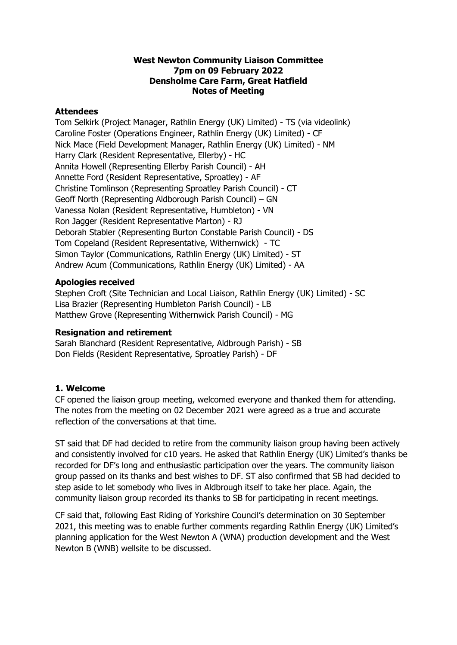### **West Newton Community Liaison Committee 7pm on 09 February 2022 Densholme Care Farm, Great Hatfield Notes of Meeting**

### **Attendees**

Tom Selkirk (Project Manager, Rathlin Energy (UK) Limited) - TS (via videolink) Caroline Foster (Operations Engineer, Rathlin Energy (UK) Limited) - CF Nick Mace (Field Development Manager, Rathlin Energy (UK) Limited) - NM Harry Clark (Resident Representative, Ellerby) - HC Annita Howell (Representing Ellerby Parish Council) - AH Annette Ford (Resident Representative, Sproatley) - AF Christine Tomlinson (Representing Sproatley Parish Council) - CT Geoff North (Representing Aldborough Parish Council) – GN Vanessa Nolan (Resident Representative, Humbleton) - VN Ron Jagger (Resident Representative Marton) - RJ Deborah Stabler (Representing Burton Constable Parish Council) - DS Tom Copeland (Resident Representative, Withernwick) - TC Simon Taylor (Communications, Rathlin Energy (UK) Limited) - ST Andrew Acum (Communications, Rathlin Energy (UK) Limited) - AA

### **Apologies received**

Stephen Croft (Site Technician and Local Liaison, Rathlin Energy (UK) Limited) - SC Lisa Brazier (Representing Humbleton Parish Council) - LB Matthew Grove (Representing Withernwick Parish Council) - MG

## **Resignation and retirement**

Sarah Blanchard (Resident Representative, Aldbrough Parish) - SB Don Fields (Resident Representative, Sproatley Parish) - DF

## **1. Welcome**

CF opened the liaison group meeting, welcomed everyone and thanked them for attending. The notes from the meeting on 02 December 2021 were agreed as a true and accurate reflection of the conversations at that time.

ST said that DF had decided to retire from the community liaison group having been actively and consistently involved for c10 years. He asked that Rathlin Energy (UK) Limited's thanks be recorded for DF's long and enthusiastic participation over the years. The community liaison group passed on its thanks and best wishes to DF. ST also confirmed that SB had decided to step aside to let somebody who lives in Aldbrough itself to take her place. Again, the community liaison group recorded its thanks to SB for participating in recent meetings.

CF said that, following East Riding of Yorkshire Council's determination on 30 September 2021, this meeting was to enable further comments regarding Rathlin Energy (UK) Limited's planning application for the West Newton A (WNA) production development and the West Newton B (WNB) wellsite to be discussed.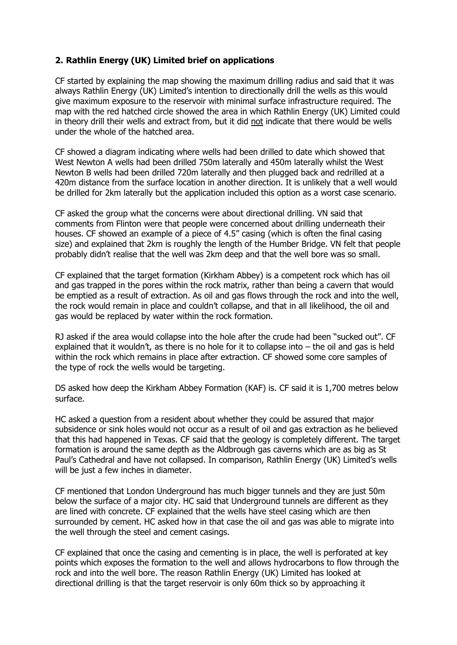# **2. Rathlin Energy (UK) Limited brief on applications**

CF started by explaining the map showing the maximum drilling radius and said that it was always Rathlin Energy (UK) Limited's intention to directionally drill the wells as this would give maximum exposure to the reservoir with minimal surface infrastructure required. The map with the red hatched circle showed the area in which Rathlin Energy (UK) Limited could in theory drill their wells and extract from, but it did not indicate that there would be wells under the whole of the hatched area.

CF showed a diagram indicating where wells had been drilled to date which showed that West Newton A wells had been drilled 750m laterally and 450m laterally whilst the West Newton B wells had been drilled 720m laterally and then plugged back and redrilled at a 420m distance from the surface location in another direction. It is unlikely that a well would be drilled for 2km laterally but the application included this option as a worst case scenario.

CF asked the group what the concerns were about directional drilling. VN said that comments from Flinton were that people were concerned about drilling underneath their houses. CF showed an example of a piece of 4.5" casing (which is often the final casing size) and explained that 2km is roughly the length of the Humber Bridge. VN felt that people probably didn't realise that the well was 2km deep and that the well bore was so small.

CF explained that the target formation (Kirkham Abbey) is a competent rock which has oil and gas trapped in the pores within the rock matrix, rather than being a cavern that would be emptied as a result of extraction. As oil and gas flows through the rock and into the well, the rock would remain in place and couldn't collapse, and that in all likelihood, the oil and gas would be replaced by water within the rock formation.

RJ asked if the area would collapse into the hole after the crude had been "sucked out". CF explained that it wouldn't, as there is no hole for it to collapse into – the oil and gas is held within the rock which remains in place after extraction. CF showed some core samples of the type of rock the wells would be targeting.

DS asked how deep the Kirkham Abbey Formation (KAF) is. CF said it is 1,700 metres below surface.

HC asked a question from a resident about whether they could be assured that major subsidence or sink holes would not occur as a result of oil and gas extraction as he believed that this had happened in Texas. CF said that the geology is completely different. The target formation is around the same depth as the Aldbrough gas caverns which are as big as St Paul's Cathedral and have not collapsed. In comparison, Rathlin Energy (UK) Limited's wells will be just a few inches in diameter.

CF mentioned that London Underground has much bigger tunnels and they are just 50m below the surface of a major city. HC said that Underground tunnels are different as they are lined with concrete. CF explained that the wells have steel casing which are then surrounded by cement. HC asked how in that case the oil and gas was able to migrate into the well through the steel and cement casings.

CF explained that once the casing and cementing is in place, the well is perforated at key points which exposes the formation to the well and allows hydrocarbons to flow through the rock and into the well bore. The reason Rathlin Energy (UK) Limited has looked at directional drilling is that the target reservoir is only 60m thick so by approaching it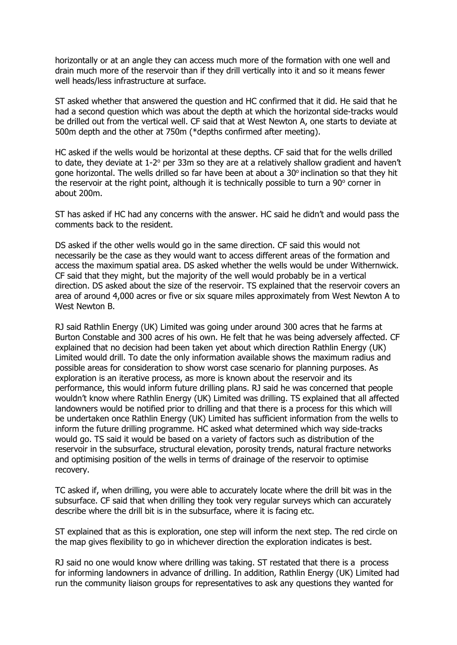horizontally or at an angle they can access much more of the formation with one well and drain much more of the reservoir than if they drill vertically into it and so it means fewer well heads/less infrastructure at surface.

ST asked whether that answered the question and HC confirmed that it did. He said that he had a second question which was about the depth at which the horizontal side-tracks would be drilled out from the vertical well. CF said that at West Newton A, one starts to deviate at 500m depth and the other at 750m (\*depths confirmed after meeting).

HC asked if the wells would be horizontal at these depths. CF said that for the wells drilled to date, they deviate at 1-2° per 33m so they are at a relatively shallow gradient and haven't gone horizontal. The wells drilled so far have been at about a  $30^{\circ}$  inclination so that they hit the reservoir at the right point, although it is technically possible to turn a 90° corner in about 200m.

ST has asked if HC had any concerns with the answer. HC said he didn't and would pass the comments back to the resident.

DS asked if the other wells would go in the same direction. CF said this would not necessarily be the case as they would want to access different areas of the formation and access the maximum spatial area. DS asked whether the wells would be under Withernwick. CF said that they might, but the majority of the well would probably be in a vertical direction. DS asked about the size of the reservoir. TS explained that the reservoir covers an area of around 4,000 acres or five or six square miles approximately from West Newton A to West Newton B.

RJ said Rathlin Energy (UK) Limited was going under around 300 acres that he farms at Burton Constable and 300 acres of his own. He felt that he was being adversely affected. CF explained that no decision had been taken yet about which direction Rathlin Energy (UK) Limited would drill. To date the only information available shows the maximum radius and possible areas for consideration to show worst case scenario for planning purposes. As exploration is an iterative process, as more is known about the reservoir and its performance, this would inform future drilling plans. RJ said he was concerned that people wouldn't know where Rathlin Energy (UK) Limited was drilling. TS explained that all affected landowners would be notified prior to drilling and that there is a process for this which will be undertaken once Rathlin Energy (UK) Limited has sufficient information from the wells to inform the future drilling programme. HC asked what determined which way side-tracks would go. TS said it would be based on a variety of factors such as distribution of the reservoir in the subsurface, structural elevation, porosity trends, natural fracture networks and optimising position of the wells in terms of drainage of the reservoir to optimise recovery.

TC asked if, when drilling, you were able to accurately locate where the drill bit was in the subsurface. CF said that when drilling they took very regular surveys which can accurately describe where the drill bit is in the subsurface, where it is facing etc.

ST explained that as this is exploration, one step will inform the next step. The red circle on the map gives flexibility to go in whichever direction the exploration indicates is best.

RJ said no one would know where drilling was taking. ST restated that there is a process for informing landowners in advance of drilling. In addition, Rathlin Energy (UK) Limited had run the community liaison groups for representatives to ask any questions they wanted for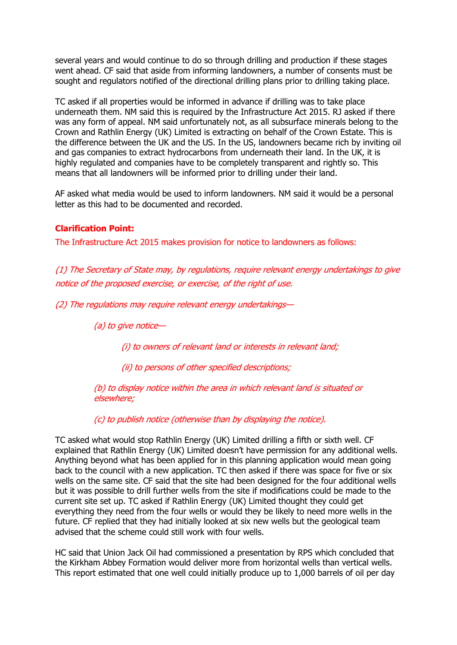several years and would continue to do so through drilling and production if these stages went ahead. CF said that aside from informing landowners, a number of consents must be sought and regulators notified of the directional drilling plans prior to drilling taking place.

TC asked if all properties would be informed in advance if drilling was to take place underneath them. NM said this is required by the Infrastructure Act 2015. RJ asked if there was any form of appeal. NM said unfortunately not, as all subsurface minerals belong to the Crown and Rathlin Energy (UK) Limited is extracting on behalf of the Crown Estate. This is the difference between the UK and the US. In the US, landowners became rich by inviting oil and gas companies to extract hydrocarbons from underneath their land. In the UK, it is highly regulated and companies have to be completely transparent and rightly so. This means that all landowners will be informed prior to drilling under their land.

AF asked what media would be used to inform landowners. NM said it would be a personal letter as this had to be documented and recorded.

## **Clarification Point:**

The Infrastructure Act 2015 makes provision for notice to landowners as follows:

(1) The Secretary of State may, by regulations, require relevant energy undertakings to give notice of the proposed exercise, or exercise, of the right of use.

(2) The regulations may require relevant energy undertakings—

(a) to give notice—

(i) to owners of relevant land or interests in relevant land;

(ii) to persons of other specified descriptions;

(b) to display notice within the area in which relevant land is situated or elsewhere;

(c) to publish notice (otherwise than by displaying the notice).

TC asked what would stop Rathlin Energy (UK) Limited drilling a fifth or sixth well. CF explained that Rathlin Energy (UK) Limited doesn't have permission for any additional wells. Anything beyond what has been applied for in this planning application would mean going back to the council with a new application. TC then asked if there was space for five or six wells on the same site. CF said that the site had been designed for the four additional wells but it was possible to drill further wells from the site if modifications could be made to the current site set up. TC asked if Rathlin Energy (UK) Limited thought they could get everything they need from the four wells or would they be likely to need more wells in the future. CF replied that they had initially looked at six new wells but the geological team advised that the scheme could still work with four wells.

HC said that Union Jack Oil had commissioned a presentation by RPS which concluded that the Kirkham Abbey Formation would deliver more from horizontal wells than vertical wells. This report estimated that one well could initially produce up to 1,000 barrels of oil per day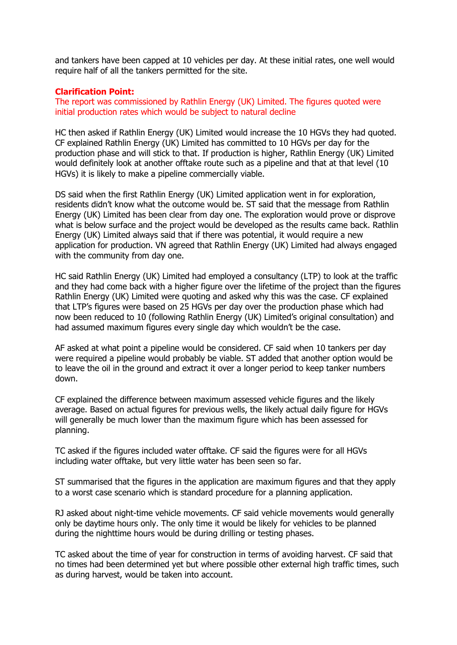and tankers have been capped at 10 vehicles per day. At these initial rates, one well would require half of all the tankers permitted for the site.

### **Clarification Point:**

The report was commissioned by Rathlin Energy (UK) Limited. The figures quoted were initial production rates which would be subject to natural decline

HC then asked if Rathlin Energy (UK) Limited would increase the 10 HGVs they had quoted. CF explained Rathlin Energy (UK) Limited has committed to 10 HGVs per day for the production phase and will stick to that. If production is higher, Rathlin Energy (UK) Limited would definitely look at another offtake route such as a pipeline and that at that level (10 HGVs) it is likely to make a pipeline commercially viable.

DS said when the first Rathlin Energy (UK) Limited application went in for exploration, residents didn't know what the outcome would be. ST said that the message from Rathlin Energy (UK) Limited has been clear from day one. The exploration would prove or disprove what is below surface and the project would be developed as the results came back. Rathlin Energy (UK) Limited always said that if there was potential, it would require a new application for production. VN agreed that Rathlin Energy (UK) Limited had always engaged with the community from day one.

HC said Rathlin Energy (UK) Limited had employed a consultancy (LTP) to look at the traffic and they had come back with a higher figure over the lifetime of the project than the figures Rathlin Energy (UK) Limited were quoting and asked why this was the case. CF explained that LTP's figures were based on 25 HGVs per day over the production phase which had now been reduced to 10 (following Rathlin Energy (UK) Limited's original consultation) and had assumed maximum figures every single day which wouldn't be the case.

AF asked at what point a pipeline would be considered. CF said when 10 tankers per day were required a pipeline would probably be viable. ST added that another option would be to leave the oil in the ground and extract it over a longer period to keep tanker numbers down.

CF explained the difference between maximum assessed vehicle figures and the likely average. Based on actual figures for previous wells, the likely actual daily figure for HGVs will generally be much lower than the maximum figure which has been assessed for planning.

TC asked if the figures included water offtake. CF said the figures were for all HGVs including water offtake, but very little water has been seen so far.

ST summarised that the figures in the application are maximum figures and that they apply to a worst case scenario which is standard procedure for a planning application.

RJ asked about night-time vehicle movements. CF said vehicle movements would generally only be daytime hours only. The only time it would be likely for vehicles to be planned during the nighttime hours would be during drilling or testing phases.

TC asked about the time of year for construction in terms of avoiding harvest. CF said that no times had been determined yet but where possible other external high traffic times, such as during harvest, would be taken into account.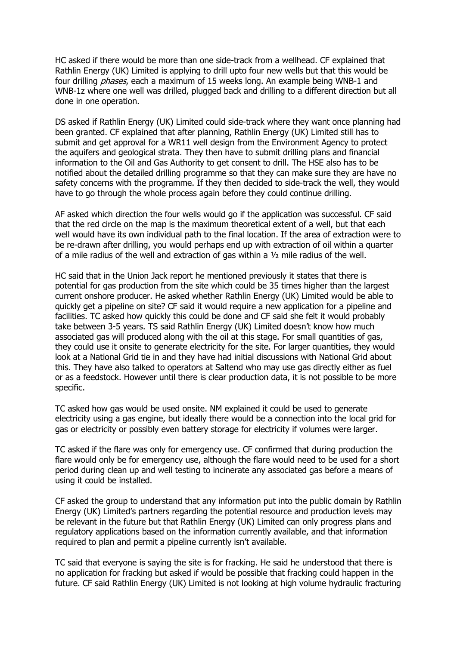HC asked if there would be more than one side-track from a wellhead. CF explained that Rathlin Energy (UK) Limited is applying to drill upto four new wells but that this would be four drilling *phases*, each a maximum of 15 weeks long. An example being WNB-1 and WNB-1z where one well was drilled, plugged back and drilling to a different direction but all done in one operation.

DS asked if Rathlin Energy (UK) Limited could side-track where they want once planning had been granted. CF explained that after planning, Rathlin Energy (UK) Limited still has to submit and get approval for a WR11 well design from the Environment Agency to protect the aquifers and geological strata. They then have to submit drilling plans and financial information to the Oil and Gas Authority to get consent to drill. The HSE also has to be notified about the detailed drilling programme so that they can make sure they are have no safety concerns with the programme. If they then decided to side-track the well, they would have to go through the whole process again before they could continue drilling.

AF asked which direction the four wells would go if the application was successful. CF said that the red circle on the map is the maximum theoretical extent of a well, but that each well would have its own individual path to the final location. If the area of extraction were to be re-drawn after drilling, you would perhaps end up with extraction of oil within a quarter of a mile radius of the well and extraction of gas within a ½ mile radius of the well.

HC said that in the Union Jack report he mentioned previously it states that there is potential for gas production from the site which could be 35 times higher than the largest current onshore producer. He asked whether Rathlin Energy (UK) Limited would be able to quickly get a pipeline on site? CF said it would require a new application for a pipeline and facilities. TC asked how quickly this could be done and CF said she felt it would probably take between 3-5 years. TS said Rathlin Energy (UK) Limited doesn't know how much associated gas will produced along with the oil at this stage. For small quantities of gas, they could use it onsite to generate electricity for the site. For larger quantities, they would look at a National Grid tie in and they have had initial discussions with National Grid about this. They have also talked to operators at Saltend who may use gas directly either as fuel or as a feedstock. However until there is clear production data, it is not possible to be more specific.

TC asked how gas would be used onsite. NM explained it could be used to generate electricity using a gas engine, but ideally there would be a connection into the local grid for gas or electricity or possibly even battery storage for electricity if volumes were larger.

TC asked if the flare was only for emergency use. CF confirmed that during production the flare would only be for emergency use, although the flare would need to be used for a short period during clean up and well testing to incinerate any associated gas before a means of using it could be installed.

CF asked the group to understand that any information put into the public domain by Rathlin Energy (UK) Limited's partners regarding the potential resource and production levels may be relevant in the future but that Rathlin Energy (UK) Limited can only progress plans and regulatory applications based on the information currently available, and that information required to plan and permit a pipeline currently isn't available.

TC said that everyone is saying the site is for fracking. He said he understood that there is no application for fracking but asked if would be possible that fracking could happen in the future. CF said Rathlin Energy (UK) Limited is not looking at high volume hydraulic fracturing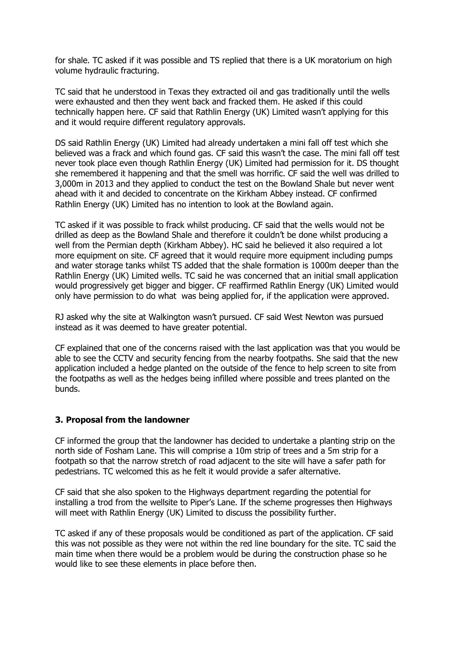for shale. TC asked if it was possible and TS replied that there is a UK moratorium on high volume hydraulic fracturing.

TC said that he understood in Texas they extracted oil and gas traditionally until the wells were exhausted and then they went back and fracked them. He asked if this could technically happen here. CF said that Rathlin Energy (UK) Limited wasn't applying for this and it would require different requiatory approvals.

DS said Rathlin Energy (UK) Limited had already undertaken a mini fall off test which she believed was a frack and which found gas. CF said this wasn't the case. The mini fall off test never took place even though Rathlin Energy (UK) Limited had permission for it. DS thought she remembered it happening and that the smell was horrific. CF said the well was drilled to 3,000m in 2013 and they applied to conduct the test on the Bowland Shale but never went ahead with it and decided to concentrate on the Kirkham Abbey instead. CF confirmed Rathlin Energy (UK) Limited has no intention to look at the Bowland again.

TC asked if it was possible to frack whilst producing. CF said that the wells would not be drilled as deep as the Bowland Shale and therefore it couldn't be done whilst producing a well from the Permian depth (Kirkham Abbey). HC said he believed it also required a lot more equipment on site. CF agreed that it would require more equipment including pumps and water storage tanks whilst TS added that the shale formation is 1000m deeper than the Rathlin Energy (UK) Limited wells. TC said he was concerned that an initial small application would progressively get bigger and bigger. CF reaffirmed Rathlin Energy (UK) Limited would only have permission to do what was being applied for, if the application were approved.

RJ asked why the site at Walkington wasn't pursued. CF said West Newton was pursued instead as it was deemed to have greater potential.

CF explained that one of the concerns raised with the last application was that you would be able to see the CCTV and security fencing from the nearby footpaths. She said that the new application included a hedge planted on the outside of the fence to help screen to site from the footpaths as well as the hedges being infilled where possible and trees planted on the bunds.

#### **3. Proposal from the landowner**

CF informed the group that the landowner has decided to undertake a planting strip on the north side of Fosham Lane. This will comprise a 10m strip of trees and a 5m strip for a footpath so that the narrow stretch of road adjacent to the site will have a safer path for pedestrians. TC welcomed this as he felt it would provide a safer alternative.

CF said that she also spoken to the Highways department regarding the potential for installing a trod from the wellsite to Piper's Lane. If the scheme progresses then Highways will meet with Rathlin Energy (UK) Limited to discuss the possibility further.

TC asked if any of these proposals would be conditioned as part of the application. CF said this was not possible as they were not within the red line boundary for the site. TC said the main time when there would be a problem would be during the construction phase so he would like to see these elements in place before then.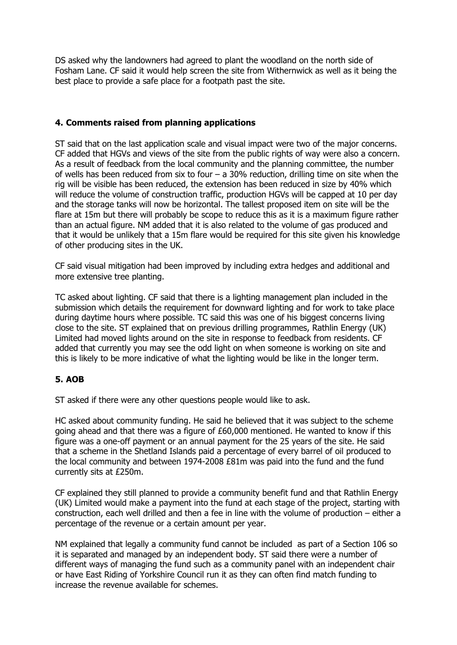DS asked why the landowners had agreed to plant the woodland on the north side of Fosham Lane. CF said it would help screen the site from Withernwick as well as it being the best place to provide a safe place for a footpath past the site.

# **4. Comments raised from planning applications**

ST said that on the last application scale and visual impact were two of the major concerns. CF added that HGVs and views of the site from the public rights of way were also a concern. As a result of feedback from the local community and the planning committee, the number of wells has been reduced from six to four  $-$  a 30% reduction, drilling time on site when the rig will be visible has been reduced, the extension has been reduced in size by 40% which will reduce the volume of construction traffic, production HGVs will be capped at 10 per day and the storage tanks will now be horizontal. The tallest proposed item on site will be the flare at 15m but there will probably be scope to reduce this as it is a maximum figure rather than an actual figure. NM added that it is also related to the volume of gas produced and that it would be unlikely that a 15m flare would be required for this site given his knowledge of other producing sites in the UK.

CF said visual mitigation had been improved by including extra hedges and additional and more extensive tree planting.

TC asked about lighting. CF said that there is a lighting management plan included in the submission which details the requirement for downward lighting and for work to take place during daytime hours where possible. TC said this was one of his biggest concerns living close to the site. ST explained that on previous drilling programmes, Rathlin Energy (UK) Limited had moved lights around on the site in response to feedback from residents. CF added that currently you may see the odd light on when someone is working on site and this is likely to be more indicative of what the lighting would be like in the longer term.

## **5. AOB**

ST asked if there were any other questions people would like to ask.

HC asked about community funding. He said he believed that it was subject to the scheme going ahead and that there was a figure of £60,000 mentioned. He wanted to know if this figure was a one-off payment or an annual payment for the 25 years of the site. He said that a scheme in the Shetland Islands paid a percentage of every barrel of oil produced to the local community and between 1974-2008 £81m was paid into the fund and the fund currently sits at £250m.

CF explained they still planned to provide a community benefit fund and that Rathlin Energy (UK) Limited would make a payment into the fund at each stage of the project, starting with construction, each well drilled and then a fee in line with the volume of production – either a percentage of the revenue or a certain amount per year.

NM explained that legally a community fund cannot be included as part of a Section 106 so it is separated and managed by an independent body. ST said there were a number of different ways of managing the fund such as a community panel with an independent chair or have East Riding of Yorkshire Council run it as they can often find match funding to increase the revenue available for schemes.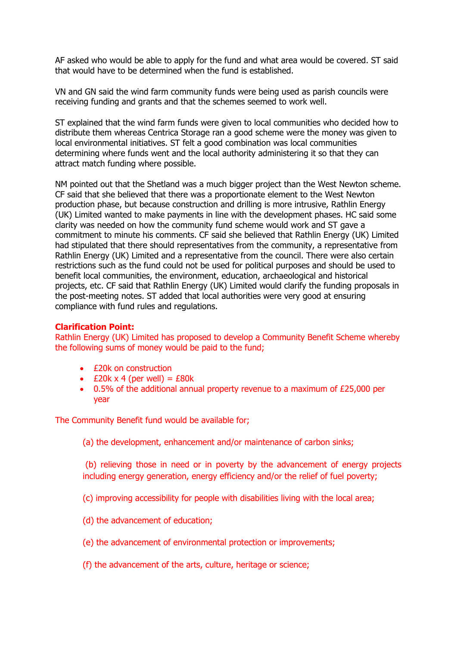AF asked who would be able to apply for the fund and what area would be covered. ST said that would have to be determined when the fund is established.

VN and GN said the wind farm community funds were being used as parish councils were receiving funding and grants and that the schemes seemed to work well.

ST explained that the wind farm funds were given to local communities who decided how to distribute them whereas Centrica Storage ran a good scheme were the money was given to local environmental initiatives. ST felt a good combination was local communities determining where funds went and the local authority administering it so that they can attract match funding where possible.

NM pointed out that the Shetland was a much bigger project than the West Newton scheme. CF said that she believed that there was a proportionate element to the West Newton production phase, but because construction and drilling is more intrusive, Rathlin Energy (UK) Limited wanted to make payments in line with the development phases. HC said some clarity was needed on how the community fund scheme would work and ST gave a commitment to minute his comments. CF said she believed that Rathlin Energy (UK) Limited had stipulated that there should representatives from the community, a representative from Rathlin Energy (UK) Limited and a representative from the council. There were also certain restrictions such as the fund could not be used for political purposes and should be used to benefit local communities, the environment, education, archaeological and historical projects, etc. CF said that Rathlin Energy (UK) Limited would clarify the funding proposals in the post-meeting notes. ST added that local authorities were very good at ensuring compliance with fund rules and regulations.

#### **Clarification Point:**

Rathlin Energy (UK) Limited has proposed to develop a Community Benefit Scheme whereby the following sums of money would be paid to the fund;

- £20k on construction
- $£20k \times 4$  (per well) =  $£80k$
- 0.5% of the additional annual property revenue to a maximum of £25,000 per year

The Community Benefit fund would be available for;

(a) the development, enhancement and/or maintenance of carbon sinks;

(b) relieving those in need or in poverty by the advancement of energy projects including energy generation, energy efficiency and/or the relief of fuel poverty;

(c) improving accessibility for people with disabilities living with the local area;

- (d) the advancement of education;
- (e) the advancement of environmental protection or improvements;
- (f) the advancement of the arts, culture, heritage or science;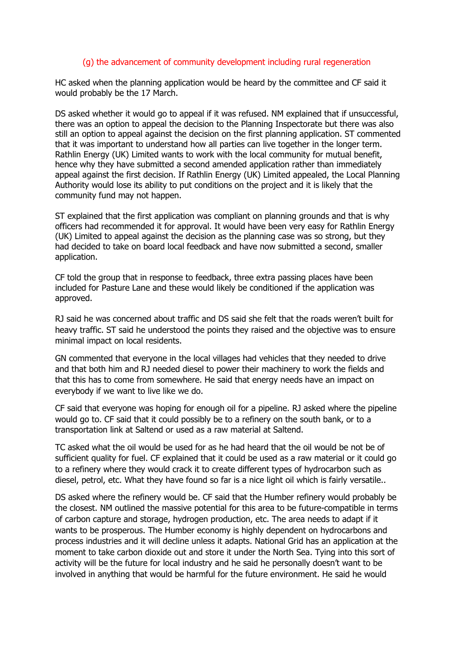#### (g) the advancement of community development including rural regeneration

HC asked when the planning application would be heard by the committee and CF said it would probably be the 17 March.

DS asked whether it would go to appeal if it was refused. NM explained that if unsuccessful, there was an option to appeal the decision to the Planning Inspectorate but there was also still an option to appeal against the decision on the first planning application. ST commented that it was important to understand how all parties can live together in the longer term. Rathlin Energy (UK) Limited wants to work with the local community for mutual benefit, hence why they have submitted a second amended application rather than immediately appeal against the first decision. If Rathlin Energy (UK) Limited appealed, the Local Planning Authority would lose its ability to put conditions on the project and it is likely that the community fund may not happen.

ST explained that the first application was compliant on planning grounds and that is why officers had recommended it for approval. It would have been very easy for Rathlin Energy (UK) Limited to appeal against the decision as the planning case was so strong, but they had decided to take on board local feedback and have now submitted a second, smaller application.

CF told the group that in response to feedback, three extra passing places have been included for Pasture Lane and these would likely be conditioned if the application was approved.

RJ said he was concerned about traffic and DS said she felt that the roads weren't built for heavy traffic. ST said he understood the points they raised and the objective was to ensure minimal impact on local residents.

GN commented that everyone in the local villages had vehicles that they needed to drive and that both him and RJ needed diesel to power their machinery to work the fields and that this has to come from somewhere. He said that energy needs have an impact on everybody if we want to live like we do.

CF said that everyone was hoping for enough oil for a pipeline. RJ asked where the pipeline would go to. CF said that it could possibly be to a refinery on the south bank, or to a transportation link at Saltend or used as a raw material at Saltend.

TC asked what the oil would be used for as he had heard that the oil would be not be of sufficient quality for fuel. CF explained that it could be used as a raw material or it could go to a refinery where they would crack it to create different types of hydrocarbon such as diesel, petrol, etc. What they have found so far is a nice light oil which is fairly versatile..

DS asked where the refinery would be. CF said that the Humber refinery would probably be the closest. NM outlined the massive potential for this area to be future-compatible in terms of carbon capture and storage, hydrogen production, etc. The area needs to adapt if it wants to be prosperous. The Humber economy is highly dependent on hydrocarbons and process industries and it will decline unless it adapts. National Grid has an application at the moment to take carbon dioxide out and store it under the North Sea. Tying into this sort of activity will be the future for local industry and he said he personally doesn't want to be involved in anything that would be harmful for the future environment. He said he would